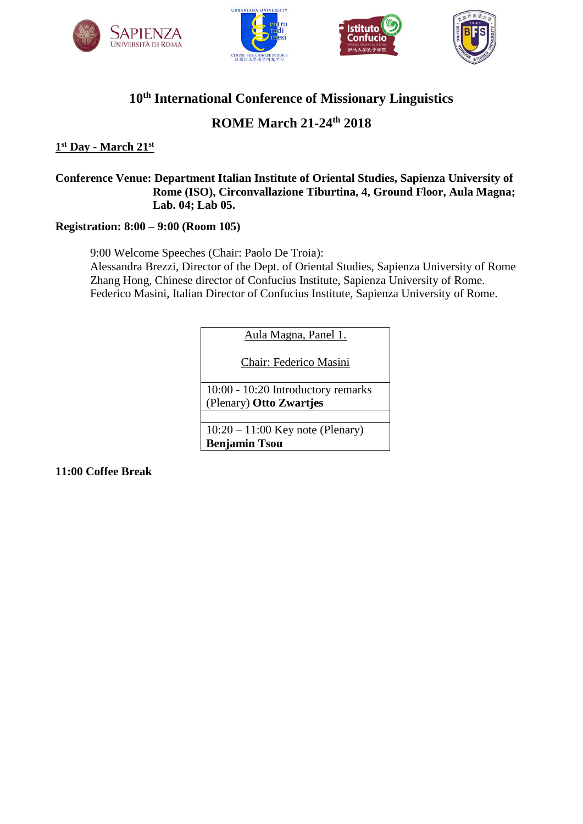







# **10th International Conference of Missionary Linguistics**

## **ROME March 21-24th 2018**

#### **1 st Day - March 21st**

#### **Conference Venue: Department Italian Institute of Oriental Studies, Sapienza University of Rome (ISO), Circonvallazione Tiburtina, 4, Ground Floor, Aula Magna; Lab. 04; Lab 05.**

#### **Registration: 8:00 – 9:00 (Room 105)**

9:00 Welcome Speeches (Chair: Paolo De Troia): Alessandra Brezzi, Director of the Dept. of Oriental Studies, Sapienza University of Rome Zhang Hong, Chinese director of Confucius Institute, Sapienza University of Rome. Federico Masini, Italian Director of Confucius Institute, Sapienza University of Rome.

Aula Magna, Panel 1.

Chair: Federico Masini

10:00 - 10:20 Introductory remarks (Plenary) **Otto Zwartjes**

10:20 – 11:00 Key note (Plenary) **Benjamin Tsou**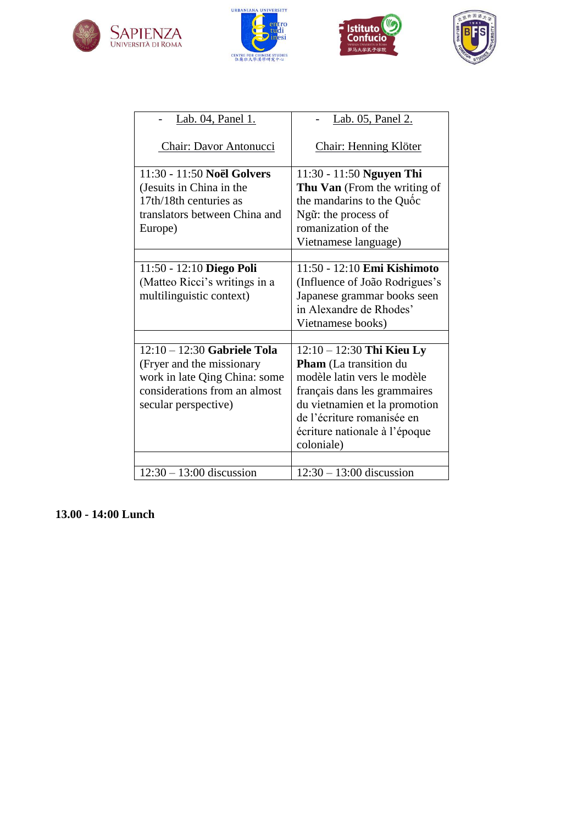







| Lab. 04, Panel 1.                                                                                                                                    | Lab. 05, Panel 2.                                                                                                                                                                                                                         |
|------------------------------------------------------------------------------------------------------------------------------------------------------|-------------------------------------------------------------------------------------------------------------------------------------------------------------------------------------------------------------------------------------------|
| <b>Chair: Davor Antonucci</b>                                                                                                                        | <b>Chair: Henning Klöter</b>                                                                                                                                                                                                              |
| 11:30 - 11:50 Noël Golvers<br>(Jesuits in China in the<br>17th/18th centuries as<br>translators between China and<br>Europe)                         | 11:30 - 11:50 Nguyen Thi<br><b>Thu Van</b> (From the writing of<br>the mandarins to the Quốc<br>Ngữ: the process of<br>romanization of the<br>Vietnamese language)                                                                        |
| 11:50 - 12:10 Diego Poli<br>(Matteo Ricci's writings in a<br>multilinguistic context)                                                                | 11:50 - 12:10 Emi Kishimoto<br>(Influence of João Rodrigues's<br>Japanese grammar books seen<br>in Alexandre de Rhodes'<br>Vietnamese books)                                                                                              |
| $12:10 - 12:30$ Gabriele Tola<br>(Fryer and the missionary<br>work in late Qing China: some<br>considerations from an almost<br>secular perspective) | $12:10 - 12:30$ Thi Kieu Ly<br><b>Pham</b> (La transition du<br>modèle latin vers le modèle<br>français dans les grammaires<br>du vietnamien et la promotion<br>de l'écriture romanisée en<br>écriture nationale à l'époque<br>coloniale) |
| $12:30 - 13:00$ discussion                                                                                                                           | $12:30 - 13:00$ discussion                                                                                                                                                                                                                |

**13.00 - 14:00 Lunch**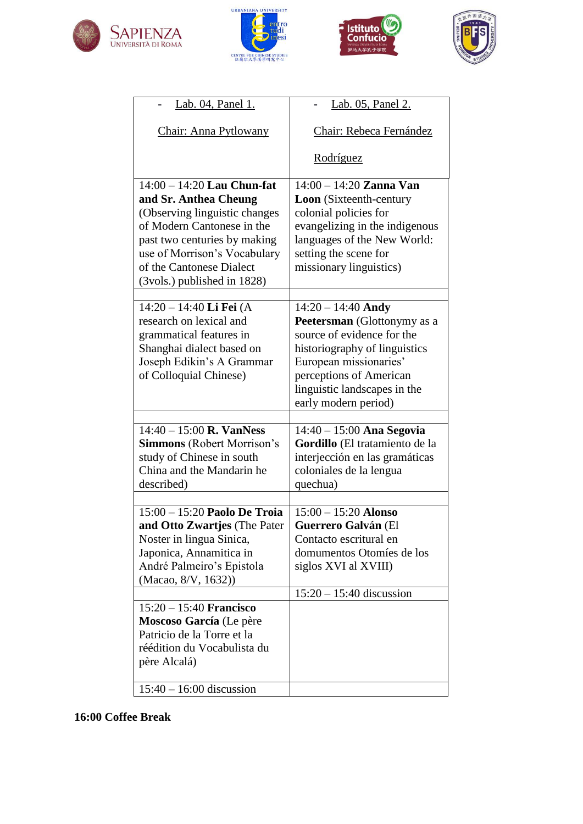







| <u>Lab. 04, Panel 1.</u>                                                                                                                                                                                                                        | <u>Lab. 05, Panel 2.</u>                                                                                                                                                                                                        |
|-------------------------------------------------------------------------------------------------------------------------------------------------------------------------------------------------------------------------------------------------|---------------------------------------------------------------------------------------------------------------------------------------------------------------------------------------------------------------------------------|
| Chair: Anna Pytlowany                                                                                                                                                                                                                           | Chair: Rebeca Fernández                                                                                                                                                                                                         |
|                                                                                                                                                                                                                                                 | Rodríguez                                                                                                                                                                                                                       |
| $14:00 - 14:20$ Lau Chun-fat<br>and Sr. Anthea Cheung<br>(Observing linguistic changes<br>of Modern Cantonese in the<br>past two centuries by making<br>use of Morrison's Vocabulary<br>of the Cantonese Dialect<br>(3vols.) published in 1828) | $14:00 - 14:20$ Zanna Van<br><b>Loon</b> (Sixteenth-century<br>colonial policies for<br>evangelizing in the indigenous<br>languages of the New World:<br>setting the scene for<br>missionary linguistics)                       |
| 14:20 - 14:40 Li Fei (A<br>research on lexical and<br>grammatical features in<br>Shanghai dialect based on<br>Joseph Edikin's A Grammar<br>of Colloquial Chinese)                                                                               | $14:20 - 14:40$ Andy<br>Peetersman (Glottonymy as a<br>source of evidence for the<br>historiography of linguistics<br>European missionaries'<br>perceptions of American<br>linguistic landscapes in the<br>early modern period) |
| $14:40 - 15:00$ R. VanNess<br><b>Simmons</b> (Robert Morrison's<br>study of Chinese in south<br>China and the Mandarin he<br>described)                                                                                                         | $14:40 - 15:00$ Ana Segovia<br>Gordillo (El tratamiento de la<br>interjección en las gramáticas<br>coloniales de la lengua<br>quechua)                                                                                          |
| $15:00 - 15:20$ Paolo De Troia<br>and Otto Zwartjes (The Pater<br>Noster in lingua Sinica,<br>Japonica, Annamitica in<br>André Palmeiro's Epistola<br>(Macao, 8/V, 1632))<br>$15:20 - 15:40$ Francisco                                          | $15:00 - 15:20$ Alonso<br>Guerrero Galván (El<br>Contacto escritural en<br>domumentos Otomíes de los<br>siglos XVI al XVIII)<br>$15:20 - 15:40$ discussion                                                                      |
| Moscoso García (Le père<br>Patricio de la Torre et la<br>réédition du Vocabulista du<br>père Alcalá)<br>$15:40 - 16:00$ discussion                                                                                                              |                                                                                                                                                                                                                                 |
|                                                                                                                                                                                                                                                 |                                                                                                                                                                                                                                 |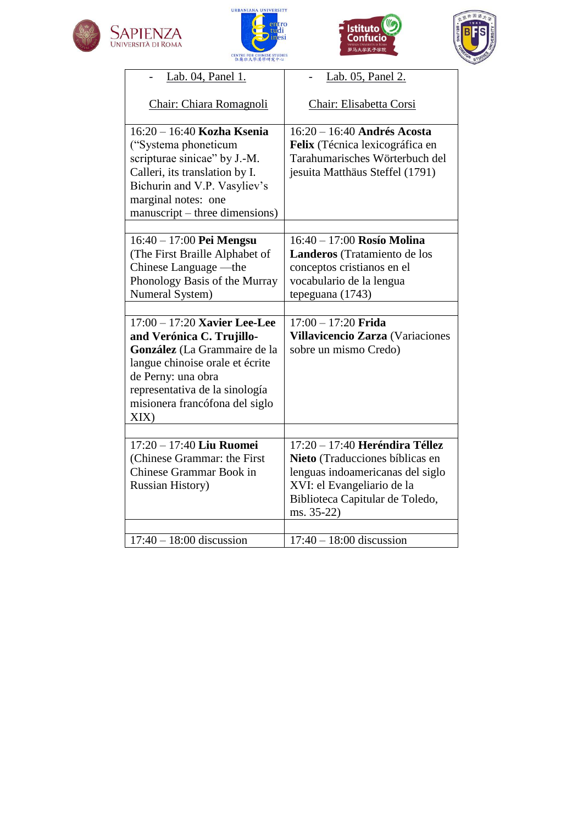







| Lab. 04, Panel 1.                                                                                                                                                                                             | Lab. 05, Panel 2.                                                                                                                                                                      |
|---------------------------------------------------------------------------------------------------------------------------------------------------------------------------------------------------------------|----------------------------------------------------------------------------------------------------------------------------------------------------------------------------------------|
| Chair: Chiara Romagnoli                                                                                                                                                                                       | Chair: Elisabetta Corsi                                                                                                                                                                |
| 16:20 - 16:40 Kozha Ksenia<br>("Systema phoneticum<br>scripturae sinicae" by J.-M.<br>Calleri, its translation by I.<br>Bichurin and V.P. Vasyliev's<br>marginal notes: one<br>manuscript – three dimensions) | $16:20 - 16:40$ Andrés Acosta<br>Felix (Técnica lexicográfica en<br>Tarahumarisches Wörterbuch del<br>jesuita Matthäus Steffel (1791)                                                  |
| $16:40 - 17:00$ Pei Mengsu<br>(The First Braille Alphabet of<br>Chinese Language —the<br>Phonology Basis of the Murray                                                                                        | 16:40 - 17:00 Rosío Molina<br>Landeros (Tratamiento de los<br>conceptos cristianos en el<br>vocabulario de la lengua                                                                   |
| Numeral System)                                                                                                                                                                                               | tepeguana (1743)                                                                                                                                                                       |
| $17:00 - 17:20$ Xavier Lee-Lee                                                                                                                                                                                | $17:00 - 17:20$ Frida                                                                                                                                                                  |
| and Verónica C. Trujillo-<br>González (La Grammaire de la<br>langue chinoise orale et écrite<br>de Perny: una obra<br>representativa de la sinología<br>misionera francófona del siglo<br>XIX)                | Villavicencio Zarza (Variaciones<br>sobre un mismo Credo)                                                                                                                              |
|                                                                                                                                                                                                               |                                                                                                                                                                                        |
| 17:20 - 17:40 Liu Ruomei<br>(Chinese Grammar: the First<br><b>Chinese Grammar Book in</b><br><b>Russian History</b> )                                                                                         | 17:20 - 17:40 Heréndira Téllez<br>Nieto (Traducciones bíblicas en<br>lenguas indoamericanas del siglo<br>XVI: el Evangeliario de la<br>Biblioteca Capitular de Toledo,<br>$ms. 35-22)$ |
| $17:40 - 18:00$ discussion                                                                                                                                                                                    | $17:40 - 18:00$ discussion                                                                                                                                                             |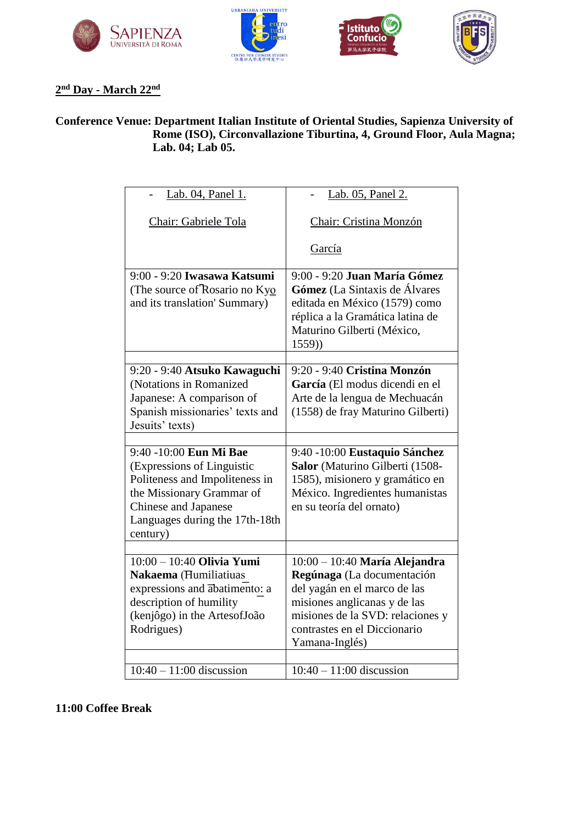







#### **2 nd Day - March 22nd**

#### **Conference Venue: Department Italian Institute of Oriental Studies, Sapienza University of Rome (ISO), Circonvallazione Tiburtina, 4, Ground Floor, Aula Magna; Lab. 04; Lab 05.**

| Lab. 04, Panel 1.                                                                                                                                                                                | Lab. 05, Panel 2.                                                                                                                                                                                                   |
|--------------------------------------------------------------------------------------------------------------------------------------------------------------------------------------------------|---------------------------------------------------------------------------------------------------------------------------------------------------------------------------------------------------------------------|
| Chair: Gabriele Tola                                                                                                                                                                             | Chair: Cristina Monzón                                                                                                                                                                                              |
|                                                                                                                                                                                                  | García                                                                                                                                                                                                              |
| 9:00 - 9:20 Iwasawa Katsumi<br>(The source of Rosario no Kyo<br>and its translation' Summary)                                                                                                    | 9:00 - 9:20 Juan María Gómez<br>Gómez (La Sintaxis de Álvares<br>editada en México (1579) como<br>réplica a la Gramática latina de<br>Maturino Gilberti (México,<br>1559)                                           |
| 9:20 - 9:40 Atsuko Kawaguchi<br>(Notations in Romanized<br>Japanese: A comparison of<br>Spanish missionaries' texts and<br>Jesuits' texts)                                                       | 9:20 - 9:40 Cristina Monzón<br>García (El modus dicendi en el<br>Arte de la lengua de Mechuacán<br>(1558) de fray Maturino Gilberti)                                                                                |
| 9:40 -10:00 Eun Mi Bae<br>(Expressions of Linguistic<br>Politeness and Impoliteness in<br>the Missionary Grammar of<br><b>Chinese and Japanese</b><br>Languages during the 17th-18th<br>century) | 9:40 -10:00 Eustaquio Sánchez<br>Salor (Maturino Gilberti (1508-<br>1585), misionero y gramático en<br>México. Ingredientes humanistas<br>en su teoría del ornato)                                                  |
|                                                                                                                                                                                                  |                                                                                                                                                                                                                     |
| $10:00 - 10:40$ Olivia Yumi<br>Nakaema (Humiliatiuas<br>expressions and abatimento: a<br>description of humility<br>(kenjôgo) in the ArtesofJoão<br>Rodrigues)                                   | $10:00 - 10:40$ María Alejandra<br>Regúnaga (La documentación<br>del yagán en el marco de las<br>misiones anglicanas y de las<br>misiones de la SVD: relaciones y<br>contrastes en el Diccionario<br>Yamana-Inglés) |
| $10:40 - 11:00$ discussion                                                                                                                                                                       | $10:40 - 11:00$ discussion                                                                                                                                                                                          |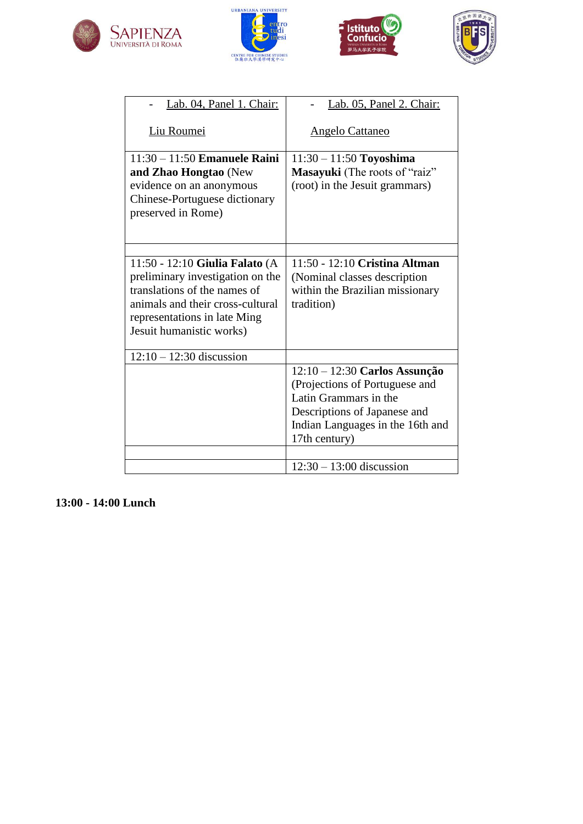







| Lab. 04, Panel 1. Chair:                                                                                                                                                                           | Lab. 05, Panel 2. Chair:                                                                                                                                                      |
|----------------------------------------------------------------------------------------------------------------------------------------------------------------------------------------------------|-------------------------------------------------------------------------------------------------------------------------------------------------------------------------------|
| Liu Roumei                                                                                                                                                                                         | <b>Angelo Cattaneo</b>                                                                                                                                                        |
| $11:30 - 11:50$ Emanuele Raini<br>and Zhao Hongtao (New<br>evidence on an anonymous<br>Chinese-Portuguese dictionary<br>preserved in Rome)                                                         | $11:30 - 11:50$ Toyoshima<br>Masayuki (The roots of "raiz"<br>(root) in the Jesuit grammars)                                                                                  |
|                                                                                                                                                                                                    |                                                                                                                                                                               |
| 11:50 - 12:10 Giulia Falato (A<br>preliminary investigation on the<br>translations of the names of<br>animals and their cross-cultural<br>representations in late Ming<br>Jesuit humanistic works) | 11:50 - 12:10 Cristina Altman<br>(Nominal classes description<br>within the Brazilian missionary<br>tradition)                                                                |
| $12:10 - 12:30$ discussion                                                                                                                                                                         |                                                                                                                                                                               |
|                                                                                                                                                                                                    | 12:10 - 12:30 Carlos Assunção<br>(Projections of Portuguese and<br>Latin Grammars in the<br>Descriptions of Japanese and<br>Indian Languages in the 16th and<br>17th century) |
|                                                                                                                                                                                                    | $12:30 - 13:00$ discussion                                                                                                                                                    |
|                                                                                                                                                                                                    |                                                                                                                                                                               |

**13:00 - 14:00 Lunch**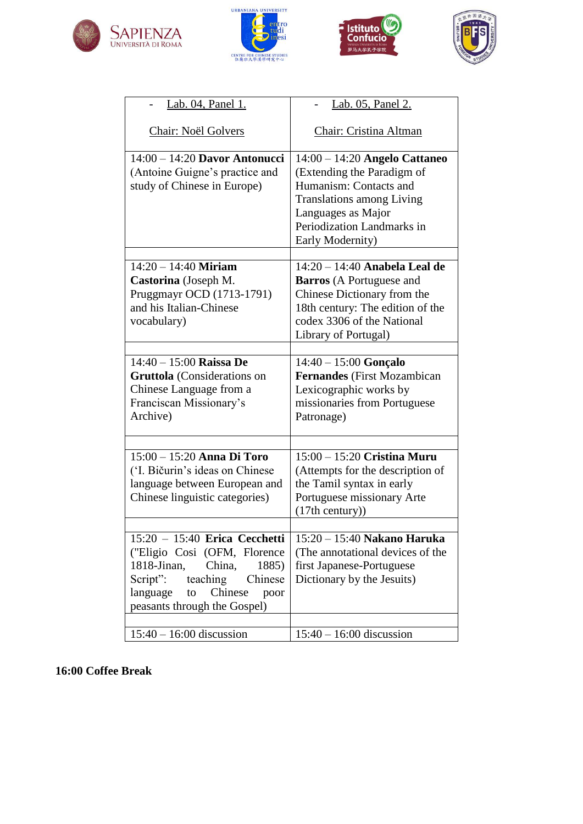







| Lab. 04, Panel 1.                                                                                                                                                                                                                     | Lab. 05, Panel 2.                                                                                                                                                                                 |
|---------------------------------------------------------------------------------------------------------------------------------------------------------------------------------------------------------------------------------------|---------------------------------------------------------------------------------------------------------------------------------------------------------------------------------------------------|
| <b>Chair: Noël Golvers</b>                                                                                                                                                                                                            | Chair: Cristina Altman                                                                                                                                                                            |
| $14:00 - 14:20$ Davor Antonucci<br>(Antoine Guigne's practice and<br>study of Chinese in Europe)                                                                                                                                      | 14:00 – 14:20 Angelo Cattaneo<br>(Extending the Paradigm of<br>Humanism: Contacts and<br><b>Translations among Living</b><br>Languages as Major<br>Periodization Landmarks in<br>Early Modernity) |
| $14:20 - 14:40$ Miriam<br>Castorina (Joseph M.<br>Pruggmayr OCD (1713-1791)<br>and his Italian-Chinese<br>vocabulary)                                                                                                                 | 14:20 - 14:40 Anabela Leal de<br><b>Barros</b> (A Portuguese and<br>Chinese Dictionary from the<br>18th century: The edition of the<br>codex 3306 of the National<br>Library of Portugal)         |
| $14:40 - 15:00$ Raissa De<br><b>Gruttola</b> (Considerations on<br>Chinese Language from a<br>Franciscan Missionary's<br>Archive)                                                                                                     | $14:40 - 15:00$ Gonçalo<br><b>Fernandes</b> (First Mozambican<br>Lexicographic works by<br>missionaries from Portuguese<br>Patronage)                                                             |
| 15:00 - 15:20 Anna Di Toro<br>('I. Bičurin's ideas on Chinese<br>language between European and<br>Chinese linguistic categories)                                                                                                      | $\overline{15:00}$ – 15:20 Cristina Muru<br>(Attempts for the description of<br>the Tamil syntax in early<br>Portuguese missionary Arte<br>(17th century))                                        |
| 15:20 - 15:40 Erica Cecchetti   15:20 - 15:40 Nakano Haruka<br>("Eligio Cosi (OFM, Florence<br>1818-Jinan,<br>China,<br>1885)<br>Script":<br>teaching<br>Chinese<br>Chinese<br>language<br>to<br>poor<br>peasants through the Gospel) | (The annotational devices of the<br>first Japanese-Portuguese<br>Dictionary by the Jesuits)                                                                                                       |
| $15:40 - 16:00$ discussion                                                                                                                                                                                                            | $15:40 - 16:00$ discussion                                                                                                                                                                        |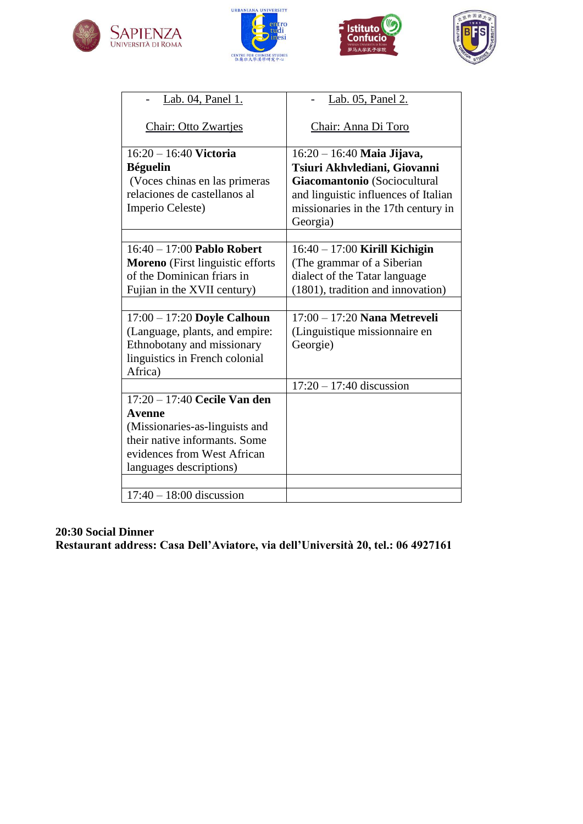







| Lab. 04, Panel 1.                                                                                                                                                     | Lab. 05, Panel 2.                                                                                                                                                                       |
|-----------------------------------------------------------------------------------------------------------------------------------------------------------------------|-----------------------------------------------------------------------------------------------------------------------------------------------------------------------------------------|
| <b>Chair: Otto Zwartjes</b>                                                                                                                                           | Chair: Anna Di Toro                                                                                                                                                                     |
| $16:20 - 16:40$ Victoria<br><b>Béguelin</b><br>(Voces chinas en las primeras<br>relaciones de castellanos al<br>Imperio Celeste)                                      | $16:20 - 16:40$ Maia Jijava,<br>Tsiuri Akhvlediani, Giovanni<br>Giacomantonio (Sociocultural<br>and linguistic influences of Italian<br>missionaries in the 17th century in<br>Georgia) |
| $16:40 - 17:00$ Pablo Robert<br><b>Moreno</b> (First linguistic efforts<br>of the Dominican friars in<br>Fujian in the XVII century)                                  | $16:40 - 17:00$ Kirill Kichigin<br>(The grammar of a Siberian<br>dialect of the Tatar language<br>(1801), tradition and innovation)                                                     |
| $17:00 - 17:20$ Doyle Calhoun<br>(Language, plants, and empire:<br>Ethnobotany and missionary<br>linguistics in French colonial<br>Africa)                            | 17:00 - 17:20 Nana Metreveli<br>(Linguistique missionnaire en<br>Georgie)                                                                                                               |
|                                                                                                                                                                       | $17:20 - 17:40$ discussion                                                                                                                                                              |
| $17:20 - 17:40$ Cecile Van den<br>Avenne<br>(Missionaries-as-linguists and<br>their native informants. Some<br>evidences from West African<br>languages descriptions) |                                                                                                                                                                                         |
| $17:40 - 18:00$ discussion                                                                                                                                            |                                                                                                                                                                                         |

#### **20:30 Social Dinner**

**Restaurant address: Casa Dell'Aviatore, via dell'Università 20, tel.: 06 4927161**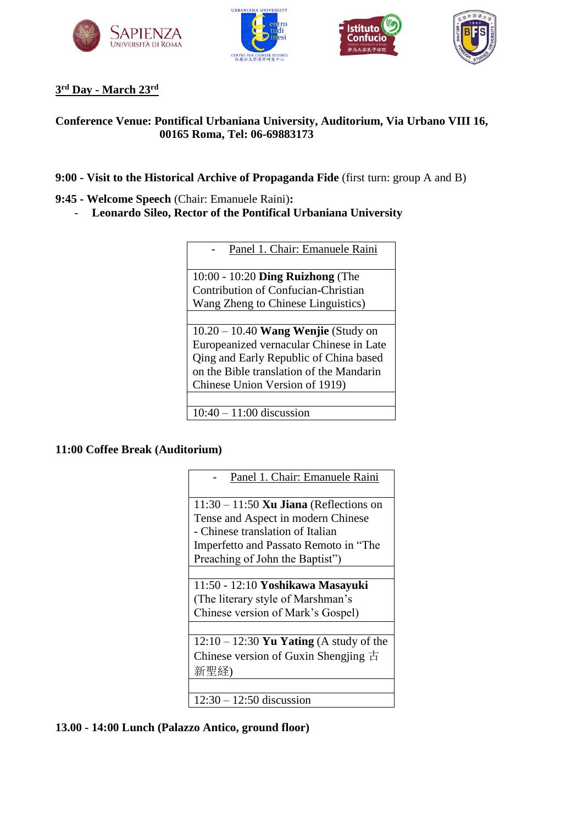





#### **3 rd Day - March 23rd**

#### **Conference Venue: Pontifical Urbaniana University, Auditorium, Via Urbano VIII 16, 00165 Roma, Tel: 06-69883173**

- **9:00 - Visit to the Historical Archive of Propaganda Fide** (first turn: group A and B)
- **9:45 - Welcome Speech** (Chair: Emanuele Raini)**:**
	- **Leonardo Sileo, Rector of the Pontifical Urbaniana University**

| Panel 1. Chair: Emanuele Raini           |  |
|------------------------------------------|--|
|                                          |  |
| $10:00 - 10:20$ Ding Ruizhong (The       |  |
| Contribution of Confucian-Christian      |  |
| Wang Zheng to Chinese Linguistics)       |  |
|                                          |  |
| $10.20 - 10.40$ Wang Wenjie (Study on    |  |
| Europeanized vernacular Chinese in Late  |  |
| Qing and Early Republic of China based   |  |
| on the Bible translation of the Mandarin |  |
| Chinese Union Version of 1919)           |  |
|                                          |  |

10:40 – 11:00 discussion

#### **11:00 Coffee Break (Auditorium)**

| Panel 1. Chair: Emanuele Raini            |  |
|-------------------------------------------|--|
| $11:30 - 11:50$ Xu Jiana (Reflections on  |  |
| Tense and Aspect in modern Chinese        |  |
| - Chinese translation of Italian          |  |
| Imperfetto and Passato Remoto in "The     |  |
| Preaching of John the Baptist")           |  |
|                                           |  |
| 11:50 - 12:10 Yoshikawa Masayuki          |  |
| (The literary style of Marshman's         |  |
| Chinese version of Mark's Gospel)         |  |
|                                           |  |
| $12:10 - 12:30$ Yu Yating (A study of the |  |
| Chinese version of Guxin Shengjing $\pm$  |  |
| 新聖経)                                      |  |
|                                           |  |
| $12:30 - 12:50$ discussion                |  |

#### **13.00 - 14:00 Lunch (Palazzo Antico, ground floor)**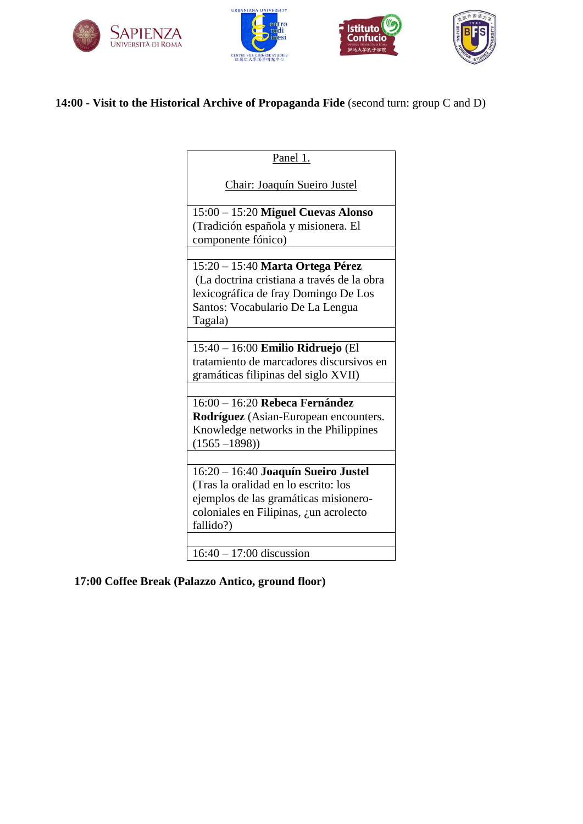







## **14:00 - Visit to the Historical Archive of Propaganda Fide** (second turn: group C and D)

| Panel 1.                                   |
|--------------------------------------------|
| <b>Chair: Joaquín Sueiro Justel</b>        |
| 15:00 - 15:20 Miguel Cuevas Alonso         |
| (Tradición española y misionera. El        |
| componente fónico)                         |
| 15:20 - 15:40 Marta Ortega Pérez           |
| (La doctrina cristiana a través de la obra |
| lexicográfica de fray Domingo De Los       |
| Santos: Vocabulario De La Lengua           |
| Tagala)                                    |
|                                            |
| 15:40 - 16:00 Emilio Ridruejo (El          |
| tratamiento de marcadores discursivos en   |
| gramáticas filipinas del siglo XVII)       |
|                                            |
| $16:00 - 16:20$ Rebeca Fernández           |
| Rodríguez (Asian-European encounters.      |
| Knowledge networks in the Philippines      |
| $(1565 - 1898))$                           |
| 16:20 - 16:40 Joaquín Sueiro Justel        |
| (Tras la oralidad en lo escrito: los       |
| ejemplos de las gramáticas misionero-      |
| coloniales en Filipinas, ¿un acrolecto     |
| fallido?)                                  |
|                                            |
| $16:40 - 17:00$ discussion                 |

## **17:00 Coffee Break (Palazzo Antico, ground floor)**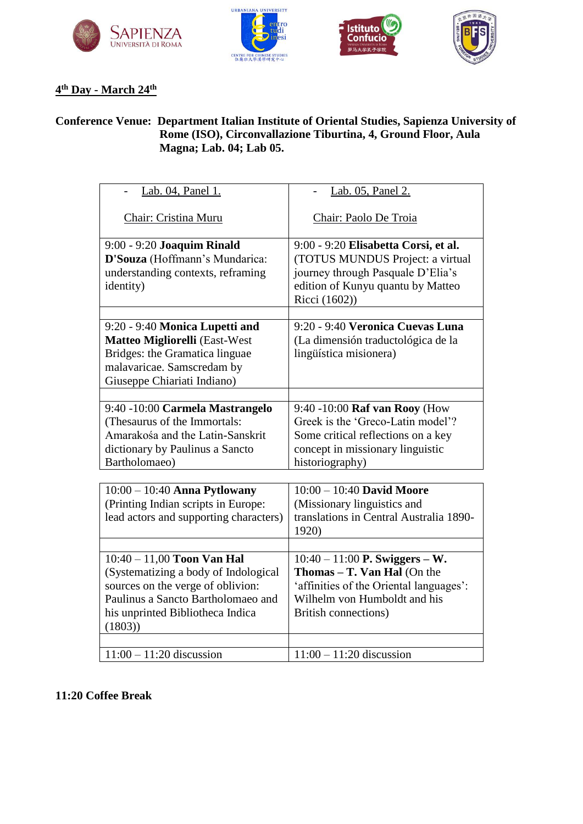







### **4 th Day - March 24th**

#### **Conference Venue: Department Italian Institute of Oriental Studies, Sapienza University of Rome (ISO), Circonvallazione Tiburtina, 4, Ground Floor, Aula Magna; Lab. 04; Lab 05.**

| Lab. 04, Panel 1.                      | Lab. 05, Panel 2.                       |
|----------------------------------------|-----------------------------------------|
|                                        |                                         |
| Chair: Cristina Muru                   | Chair: Paolo De Troia                   |
|                                        |                                         |
| 9:00 - 9:20 Joaquim Rinald             | 9:00 - 9:20 Elisabetta Corsi, et al.    |
| D'Souza (Hoffmann's Mundarica:         | (TOTUS MUNDUS Project: a virtual        |
| understanding contexts, reframing      | journey through Pasquale D'Elia's       |
| identity)                              | edition of Kunyu quantu by Matteo       |
|                                        | Ricci (1602))                           |
|                                        |                                         |
| 9:20 - 9:40 Monica Lupetti and         | 9:20 - 9:40 Veronica Cuevas Luna        |
| Matteo Migliorelli (East-West          | (La dimensión traductológica de la      |
| Bridges: the Gramatica linguae         | lingüística misionera)                  |
| malavaricae. Samscredam by             |                                         |
| Giuseppe Chiariati Indiano)            |                                         |
|                                        |                                         |
| 9:40 -10:00 Carmela Mastrangelo        | 9:40 -10:00 Raf van Rooy (How           |
| (Thesaurus of the Immortals:           | Greek is the 'Greco-Latin model'?       |
| Amarakośa and the Latin-Sanskrit       | Some critical reflections on a key      |
| dictionary by Paulinus a Sancto        | concept in missionary linguistic        |
| Bartholomaeo)                          | historiography)                         |
|                                        |                                         |
| $10:00 - 10:40$ Anna Pytlowany         | $10:00 - 10:40$ David Moore             |
| (Printing Indian scripts in Europe:    | (Missionary linguistics and             |
| lead actors and supporting characters) | translations in Central Australia 1890- |
|                                        | 1920)                                   |
|                                        |                                         |
| $10:40 - 11,00$ Toon Van Hal           | $10:40 - 11:00$ P. Swiggers – W.        |
| (Systematizing a body of Indological   | <b>Thomas - T. Van Hal</b> (On the      |
| sources on the verge of oblivion:      | 'affinities of the Oriental languages': |
| Paulinus a Sancto Bartholomaeo and     | Wilhelm von Humboldt and his            |
| his unprinted Bibliotheca Indica       | <b>British connections)</b>             |
| (1803)                                 |                                         |
|                                        |                                         |
| $11:00 - 11:20$ discussion             | $11:00 - 11:20$ discussion              |